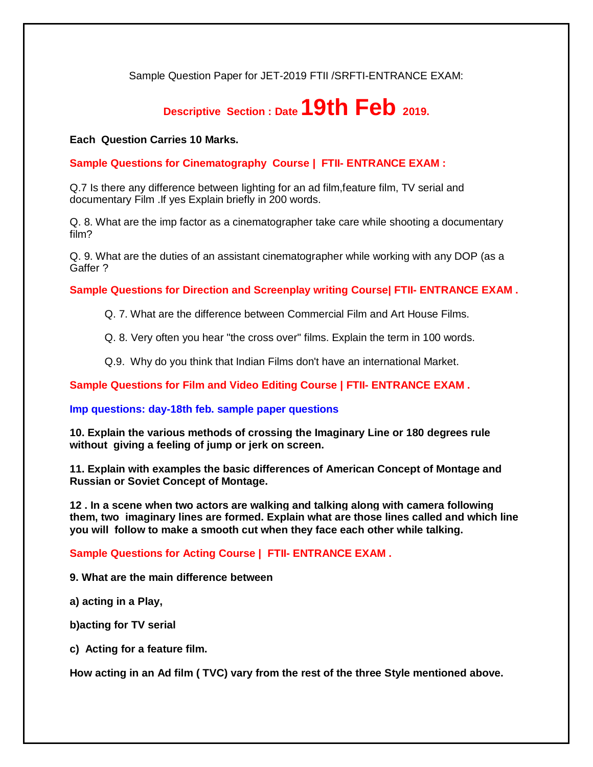Sample Question Paper for JET-2019 FTII /SRFTI-ENTRANCE EXAM:

## **Descriptive Section : Date 19th Feb 2019.**

## **Each Question Carries 10 Marks.**

**Sample Questions for Cinematography Course | FTII- ENTRANCE EXAM :**

Q.7 Is there any difference between lighting for an ad film,feature film, TV serial and documentary Film .If yes Explain briefly in 200 words.

Q. 8. What are the imp factor as a cinematographer take care while shooting a documentary film?

Q. 9. What are the duties of an assistant cinematographer while working with any DOP (as a Gaffer ?

**Sample Questions for Direction and Screenplay writing Course| FTII- ENTRANCE EXAM .**

Q. 7. What are the difference between Commercial Film and Art House Films.

Q. 8. Very often you hear "the cross over" films. Explain the term in 100 words.

Q.9. Why do you think that Indian Films don't have an international Market.

**Sample Questions for Film and Video Editing Course | FTII- ENTRANCE EXAM .**

**Imp questions: day-18th feb. sample paper questions**

**10. Explain the various methods of crossing the Imaginary Line or 180 degrees rule without giving a feeling of jump or jerk on screen.**

**11. Explain with examples the basic differences of American Concept of Montage and Russian or Soviet Concept of Montage.**

**12 . In a scene when two actors are walking and talking along with camera following them, two imaginary lines are formed. Explain what are those lines called and which line you will follow to make a smooth cut when they face each other while talking.**

**Sample Questions for Acting Course | FTII- ENTRANCE EXAM .**

**9. What are the main difference between** 

**a) acting in a Play,** 

**b)acting for TV serial** 

**c) Acting for a feature film.** 

**How acting in an Ad film ( TVC) vary from the rest of the three Style mentioned above.**